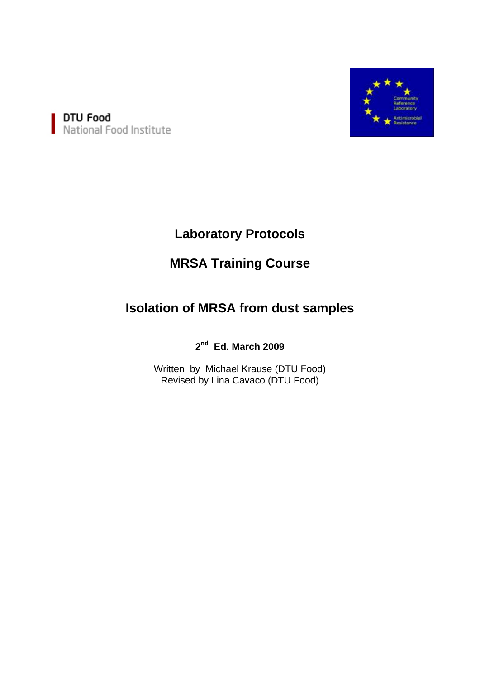

DTU Food<br>National Food Institute

# **Laboratory Protocols**

# **MRSA Training Course**

# **Isolation of MRSA from dust samples**

## **2nd Ed. March 2009**

Written by Michael Krause (DTU Food) Revised by Lina Cavaco (DTU Food)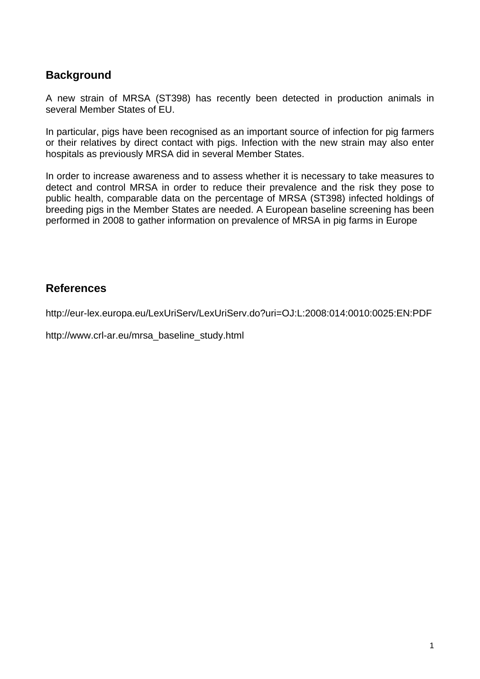## **Background**

A new strain of MRSA (ST398) has recently been detected in production animals in several Member States of EU.

In particular, pigs have been recognised as an important source of infection for pig farmers or their relatives by direct contact with pigs. Infection with the new strain may also enter hospitals as previously MRSA did in several Member States.

In order to increase awareness and to assess whether it is necessary to take measures to detect and control MRSA in order to reduce their prevalence and the risk they pose to public health, comparable data on the percentage of MRSA (ST398) infected holdings of breeding pigs in the Member States are needed. A European baseline screening has been performed in 2008 to gather information on prevalence of MRSA in pig farms in Europe

### **References**

http://eur-lex.europa.eu/LexUriServ/LexUriServ.do?uri=OJ:L:2008:014:0010:0025:EN:PDF

http://www.crl-ar.eu/mrsa\_baseline\_study.html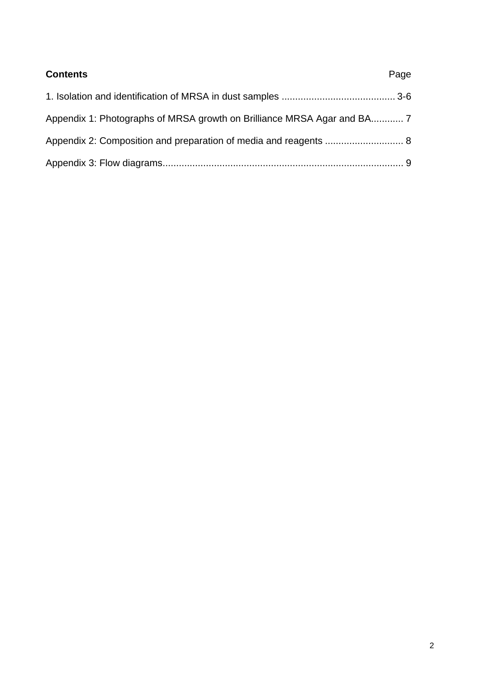| <b>Contents</b> | Page |
|-----------------|------|
|                 |      |
|                 |      |
|                 |      |
|                 |      |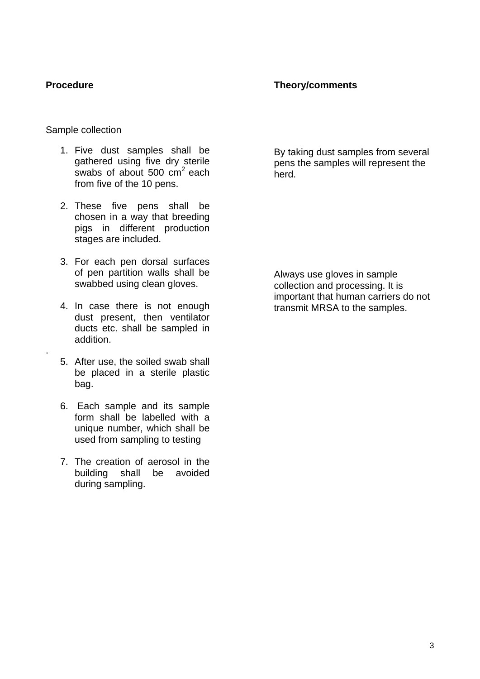.

### **Theory/comments**

Sample collection

- 1. Five dust samples shall be gathered using five dry sterile swabs of about 500  $\text{cm}^2$  each from five of the 10 pens.
- 2. These five pens shall be chosen in a way that breeding pigs in different production stages are included.
- 3. For each pen dorsal surfaces of pen partition walls shall be swabbed using clean gloves.
- 4. In case there is not enough dust present, then ventilator ducts etc. shall be sampled in addition.
- 5. After use, the soiled swab shall be placed in a sterile plastic bag.
- 6. Each sample and its sample form shall be labelled with a unique number, which shall be used from sampling to testing
- 7. The creation of aerosol in the building shall be avoided during sampling.

By taking dust samples from several pens the samples will represent the herd.

Always use gloves in sample collection and processing. It is important that human carriers do not transmit MRSA to the samples.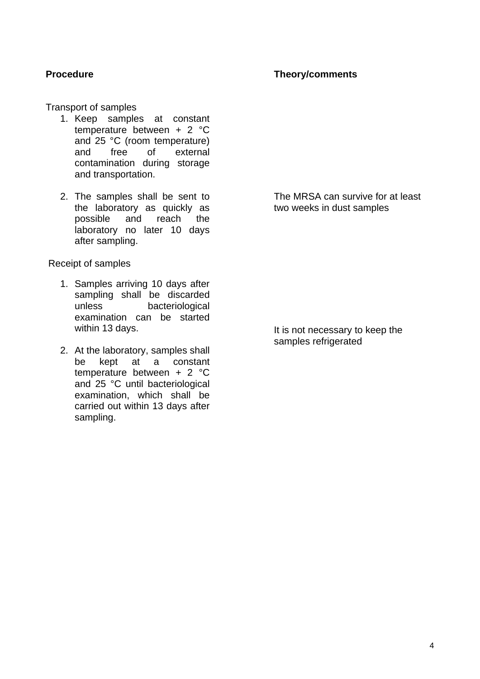#### **Theory/comments**

Transport of samples

- 1. Keep samples at constant temperature between + 2 °C and 25 °C (room temperature) and free of external contamination during storage and transportation.
- 2. The samples shall be sent to the laboratory as quickly as possible and reach the laboratory no later 10 days after sampling.

Receipt of samples

- 1. Samples arriving 10 days after sampling shall be discarded unless bacteriological examination can be started within 13 days.
- 2. At the laboratory, samples shall be kept at a constant temperature between + 2 °C and 25 °C until bacteriological examination, which shall be carried out within 13 days after sampling.

The MRSA can survive for at least two weeks in dust samples

It is not necessary to keep the samples refrigerated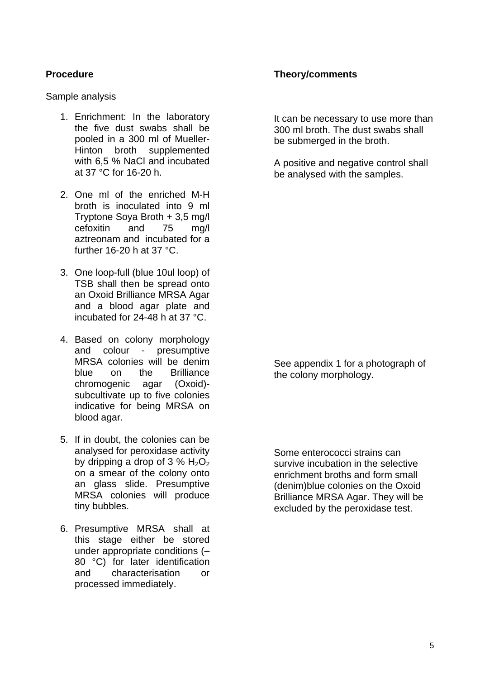Sample analysis

- 1. Enrichment: In the laboratory the five dust swabs shall be pooled in a 300 ml of Mueller-Hinton broth supplemented with 6,5 % NaCl and incubated at 37 °C for 16-20 h.
- 2. One ml of the enriched M-H broth is inoculated into 9 ml Tryptone Soya Broth + 3,5 mg/l cefoxitin and 75 mg/l aztreonam and incubated for a further 16-20 h at 37 °C.
- 3. One loop-full (blue 10ul loop) of TSB shall then be spread onto an Oxoid Brilliance MRSA Agar and a blood agar plate and incubated for 24-48 h at 37 °C.
- 4. Based on colony morphology and colour - presumptive MRSA colonies will be denim blue on the Brilliance chromogenic agar (Oxoid) subcultivate up to five colonies indicative for being MRSA on blood agar.
- 5. If in doubt, the colonies can be analysed for peroxidase activity by dripping a drop of 3 %  $H_2O_2$ on a smear of the colony onto an glass slide. Presumptive MRSA colonies will produce tiny bubbles.
- 6. Presumptive MRSA shall at this stage either be stored under appropriate conditions (– 80 °C) for later identification and characterisation or processed immediately.

### **Theory/comments**

It can be necessary to use more than 300 ml broth. The dust swabs shall be submerged in the broth.

A positive and negative control shall be analysed with the samples.

See appendix 1 for a photograph of the colony morphology.

Some enterococci strains can survive incubation in the selective enrichment broths and form small (denim)blue colonies on the Oxoid Brilliance MRSA Agar. They will be excluded by the peroxidase test.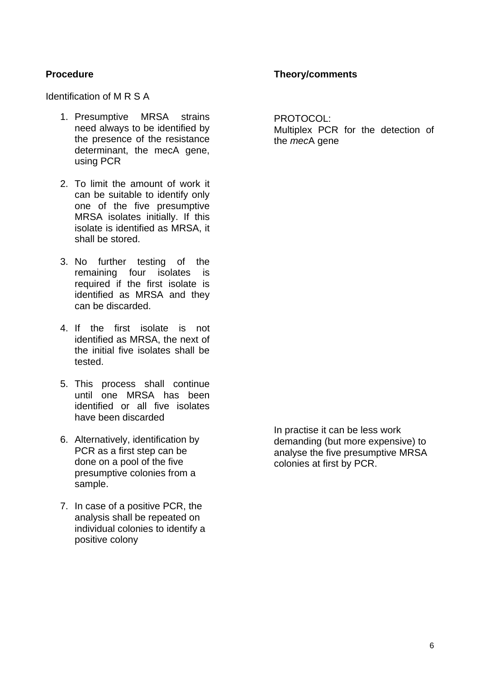#### **Theory/comments**

Identification of M R S A

- 1. Presumptive MRSA strains need always to be identified by the presence of the resistance determinant, the mecA gene, using PCR
- 2. To limit the amount of work it can be suitable to identify only one of the five presumptive MRSA isolates initially. If this isolate is identified as MRSA, it shall be stored.
- 3. No further testing of the remaining four isolates is required if the first isolate is identified as MRSA and they can be discarded.
- 4. If the first isolate is not identified as MRSA, the next of the initial five isolates shall be tested.
- 5. This process shall continue until one MRSA has been identified or all five isolates have been discarded
- 6. Alternatively, identification by PCR as a first step can be done on a pool of the five presumptive colonies from a sample.
- 7. In case of a positive PCR, the analysis shall be repeated on individual colonies to identify a positive colony

PROTOCOL: Multiplex PCR for the detection of the *mec*A gene

In practise it can be less work demanding (but more expensive) to analyse the five presumptive MRSA colonies at first by PCR.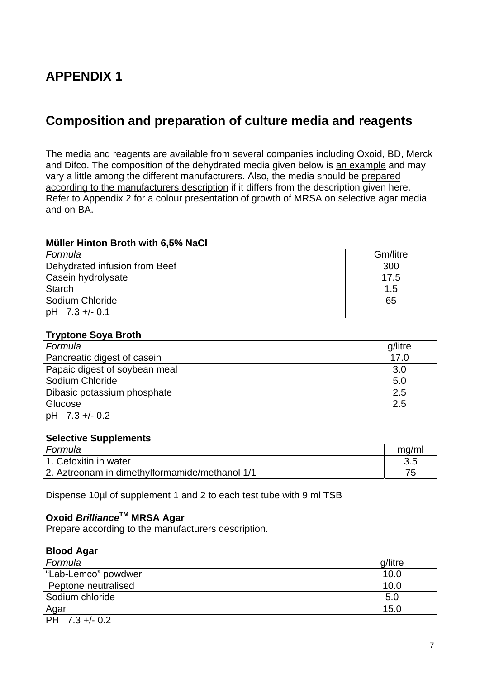# **APPENDIX 1**

## **Composition and preparation of culture media and reagents**

The media and reagents are available from several companies including Oxoid, BD, Merck and Difco. The composition of the dehydrated media given below is an example and may vary a little among the different manufacturers. Also, the media should be prepared according to the manufacturers description if it differs from the description given here. Refer to Appendix 2 for a colour presentation of growth of MRSA on selective agar media and on BA.

#### **Müller Hinton Broth with 6,5% NaCl**

| Formula                       | Gm/litre |
|-------------------------------|----------|
| Dehydrated infusion from Beef | 300      |
| Casein hydrolysate            | 17.5     |
| Starch                        | 1.5      |
| Sodium Chloride               | 65       |
| $ $ pH 7.3 +/- 0.1            |          |

### **Tryptone Soya Broth**

| Formula                       | g/litre |
|-------------------------------|---------|
| Pancreatic digest of casein   | 17.0    |
| Papaic digest of soybean meal | 3.0     |
| Sodium Chloride               | 5.0     |
| Dibasic potassium phosphate   | 2.5     |
| Glucose                       | 2.5     |
| pH 7.3 +/- 0.2                |         |

#### **Selective Supplements**

| l Formula                                      | ma/m |
|------------------------------------------------|------|
| 1. Cefoxitin in water                          |      |
| 2. Aztreonam in dimethylformamide/methanol 1/1 |      |

Dispense 10µl of supplement 1 and 2 to each test tube with 9 ml TSB

## **Oxoid** *Brilliance***TM MRSA Agar**

Prepare according to the manufacturers description.

#### **Blood Agar**

| Formula             | g/litre |
|---------------------|---------|
| "Lab-Lemco" powdwer | 10.0    |
| Peptone neutralised | 10.0    |
| Sodium chloride     | 5.0     |
| Agar                | 15.0    |
| IPH 7.3 +/- 0.2     |         |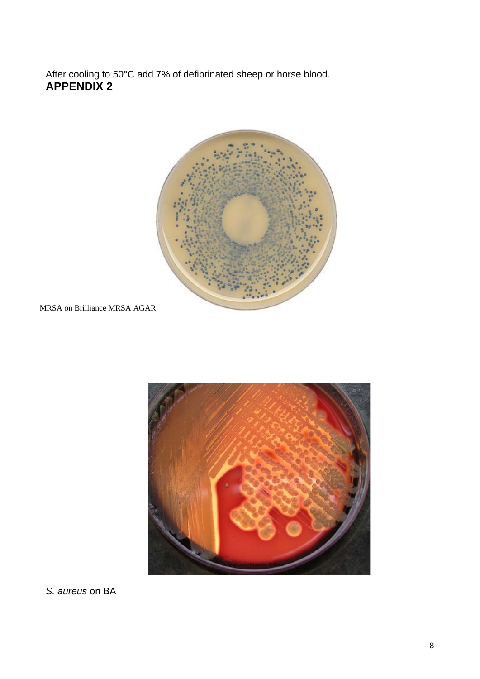After cooling to 50°C add 7% of defibrinated sheep or horse blood. **APPENDIX 2**



MRSA on Brilliance MRSA AGAR



*S. aureus* on BA